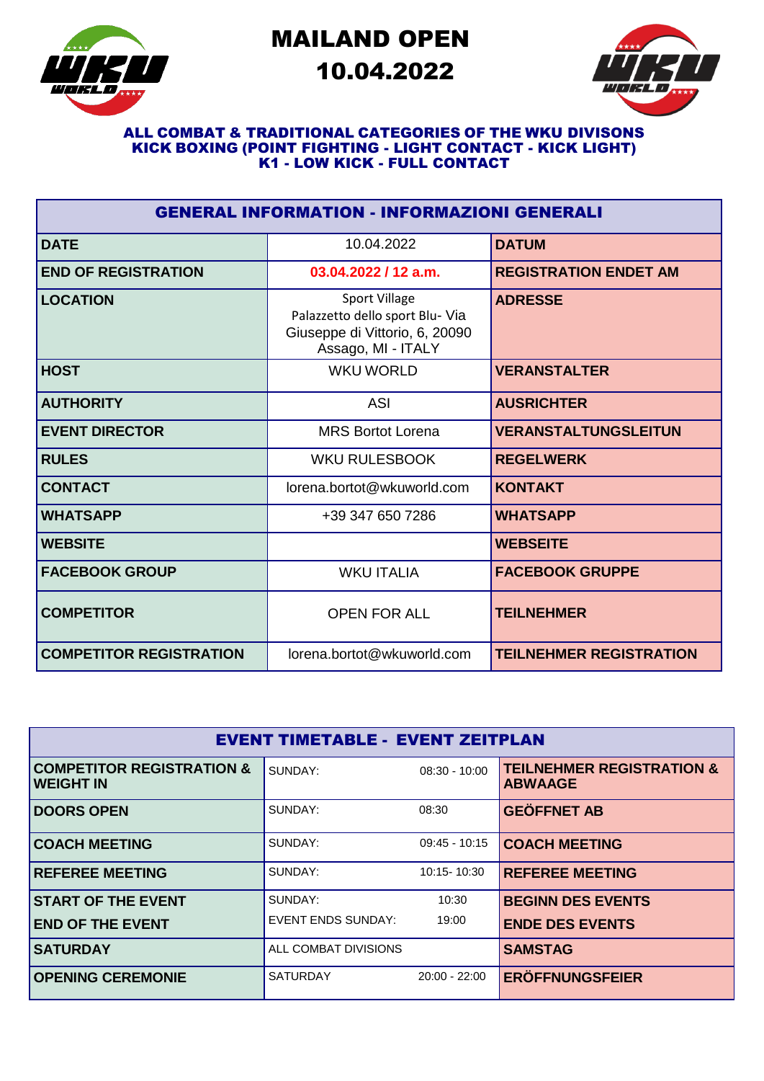

# MAILAND OPEN 10.04.2022



#### ALL COMBAT & TRADITIONAL CATEGORIES OF THE WKU DIVISONS KICK BOXING (POINT FIGHTING - LIGHT CONTACT - KICK LIGHT) K1 - LOW KICK - FULL CONTACT

| <b>GENERAL INFORMATION - INFORMAZIONI GENERALI</b> |                                                                                                          |                                |  |  |
|----------------------------------------------------|----------------------------------------------------------------------------------------------------------|--------------------------------|--|--|
| <b>DATE</b>                                        | 10.04.2022                                                                                               | <b>DATUM</b>                   |  |  |
| <b>END OF REGISTRATION</b>                         | $03.04.2022 / 12$ a.m.                                                                                   | <b>REGISTRATION ENDET AM</b>   |  |  |
| <b>LOCATION</b>                                    | Sport Village<br>Palazzetto dello sport Blu- Via<br>Giuseppe di Vittorio, 6, 20090<br>Assago, MI - ITALY | <b>ADRESSE</b>                 |  |  |
| <b>HOST</b>                                        | <b>WKU WORLD</b>                                                                                         | <b>VERANSTALTER</b>            |  |  |
| <b>AUTHORITY</b>                                   | <b>ASI</b>                                                                                               | <b>AUSRICHTER</b>              |  |  |
| <b>EVENT DIRECTOR</b>                              | <b>MRS Bortot Lorena</b>                                                                                 | <b>VERANSTALTUNGSLEITUN</b>    |  |  |
| <b>RULES</b>                                       | <b>WKU RULESBOOK</b>                                                                                     | <b>REGELWERK</b>               |  |  |
| <b>CONTACT</b>                                     | lorena.bortot@wkuworld.com                                                                               | <b>KONTAKT</b>                 |  |  |
| <b>WHATSAPP</b>                                    | +39 347 650 7286                                                                                         | <b>WHATSAPP</b>                |  |  |
| <b>WEBSITE</b>                                     |                                                                                                          | <b>WEBSEITE</b>                |  |  |
| <b>FACEBOOK GROUP</b>                              | <b>WKU ITALIA</b>                                                                                        | <b>FACEBOOK GRUPPE</b>         |  |  |
| <b>COMPETITOR</b>                                  | <b>OPEN FOR ALL</b>                                                                                      | <b>TEILNEHMER</b>              |  |  |
| <b>COMPETITOR REGISTRATION</b>                     | lorena.bortot@wkuworld.com                                                                               | <b>TEILNEHMER REGISTRATION</b> |  |  |

| <b>EVENT TIMETABLE - EVENT ZEITPLAN</b>                  |                           |                 |                                                        |  |
|----------------------------------------------------------|---------------------------|-----------------|--------------------------------------------------------|--|
| <b>COMPETITOR REGISTRATION &amp;</b><br><b>WEIGHT IN</b> | SUNDAY:                   | $08:30 - 10:00$ | <b>TEILNEHMER REGISTRATION &amp;</b><br><b>ABWAAGE</b> |  |
| <b>DOORS OPEN</b>                                        | SUNDAY:                   | 08:30           | <b>GEÖFFNET AB</b>                                     |  |
| <b>COACH MEETING</b>                                     | SUNDAY:                   | $09:45 - 10:15$ | <b>COACH MEETING</b>                                   |  |
| <b>REFEREE MEETING</b>                                   | SUNDAY:                   | 10:15-10:30     | <b>REFEREE MEETING</b>                                 |  |
| <b>START OF THE EVENT</b>                                | SUNDAY:                   | 10:30           | <b>BEGINN DES EVENTS</b>                               |  |
| <b>END OF THE EVENT</b>                                  | <b>EVENT ENDS SUNDAY:</b> | 19:00           | <b>ENDE DES EVENTS</b>                                 |  |
| <b>SATURDAY</b>                                          | ALL COMBAT DIVISIONS      |                 | <b>SAMSTAG</b>                                         |  |
| <b>OPENING CEREMONIE</b>                                 | <b>SATURDAY</b>           | $20:00 - 22:00$ | <b>ERÖFFNUNGSFEIER</b>                                 |  |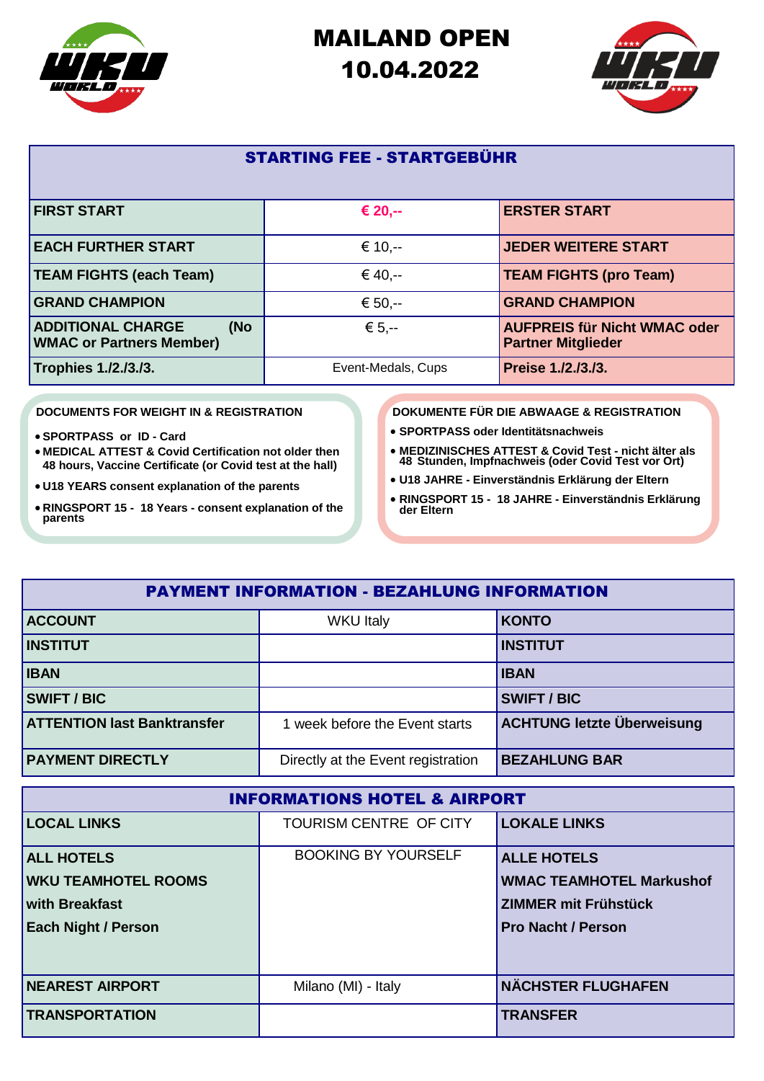

## MAILAND OPEN 10.04.2022



#### STARTING FEE - STARTGEBÜHR

| <b>FIRST START</b>                                                 | € 20,--            | <b>ERSTER START</b>                                              |
|--------------------------------------------------------------------|--------------------|------------------------------------------------------------------|
| <b>EACH FURTHER START</b>                                          | € 10. $-$          | <b>JEDER WEITERE START</b>                                       |
| <b>TEAM FIGHTS (each Team)</b>                                     | € 40,--            | <b>TEAM FIGHTS (pro Team)</b>                                    |
| <b>GRAND CHAMPION</b>                                              | € 50,--            | <b>GRAND CHAMPION</b>                                            |
| <b>ADDITIONAL CHARGE</b><br>(No<br><b>WMAC or Partners Member)</b> | € 5.--             | <b>AUFPREIS für Nicht WMAC oder</b><br><b>Partner Mitglieder</b> |
| Trophies 1./2./3./3.                                               | Event-Medals, Cups | Preise 1./2./3./3.                                               |

#### **DOCUMENTS FOR WEIGHT IN & REGISTRATION**

- **SPORTPASS or ID - Card**
- **MEDICAL ATTEST & Covid Certification not older then 48 hours, Vaccine Certificate (or Covid test at the hall)**
- **U18 YEARS consent explanation of the parents**
- **RINGSPORT 15 - 18 Years - consent explanation of the parents**

**DOKUMENTE FÜR DIE ABWAAGE & REGISTRATION**

- **SPORTPASS oder Identitätsnachweis**
- **MEDIZINISCHES ATTEST & Covid Test - nicht älter als 48 Stunden, Impfnachweis (oder Covid Test vor Ort)**
- **U18 JAHRE - Einverständnis Erklärung der Eltern**
- **RINGSPORT 15 - 18 JAHRE - Einverständnis Erklärung der Eltern**

| <b>PAYMENT INFORMATION - BEZAHLUNG INFORMATION</b> |                                    |                                   |  |
|----------------------------------------------------|------------------------------------|-----------------------------------|--|
| <b>ACCOUNT</b>                                     | <b>WKU Italy</b>                   | <b>KONTO</b>                      |  |
| <b>INSTITUT</b>                                    |                                    | <b>INSTITUT</b>                   |  |
| <b>IBAN</b>                                        |                                    | <b>IBAN</b>                       |  |
| <b>SWIFT / BIC</b>                                 |                                    | <b>SWIFT/BIC</b>                  |  |
| <b>ATTENTION last Banktransfer</b>                 | 1 week before the Event starts     | <b>ACHTUNG letzte Überweisung</b> |  |
| <b>PAYMENT DIRECTLY</b>                            | Directly at the Event registration | <b>BEZAHLUNG BAR</b>              |  |

| <b>INFORMATIONS HOTEL &amp; AIRPORT</b> |                            |                                 |  |  |
|-----------------------------------------|----------------------------|---------------------------------|--|--|
| <b>LOCAL LINKS</b>                      | TOURISM CENTRE OF CITY     | <b>LOKALE LINKS</b>             |  |  |
| <b>ALL HOTELS</b>                       | <b>BOOKING BY YOURSELF</b> | <b>ALLE HOTELS</b>              |  |  |
| <b>WKU TEAMHOTEL ROOMS</b>              |                            | <b>WMAC TEAMHOTEL Markushof</b> |  |  |
| <b>with Breakfast</b>                   |                            | <b>ZIMMER mit Frühstück</b>     |  |  |
| <b>Each Night / Person</b>              |                            | <b>Pro Nacht / Person</b>       |  |  |
|                                         |                            |                                 |  |  |
| <b>NEAREST AIRPORT</b>                  | Milano (MI) - Italy        | <b>NÄCHSTER FLUGHAFEN</b>       |  |  |
| <b>TRANSPORTATION</b>                   |                            | <b>TRANSFER</b>                 |  |  |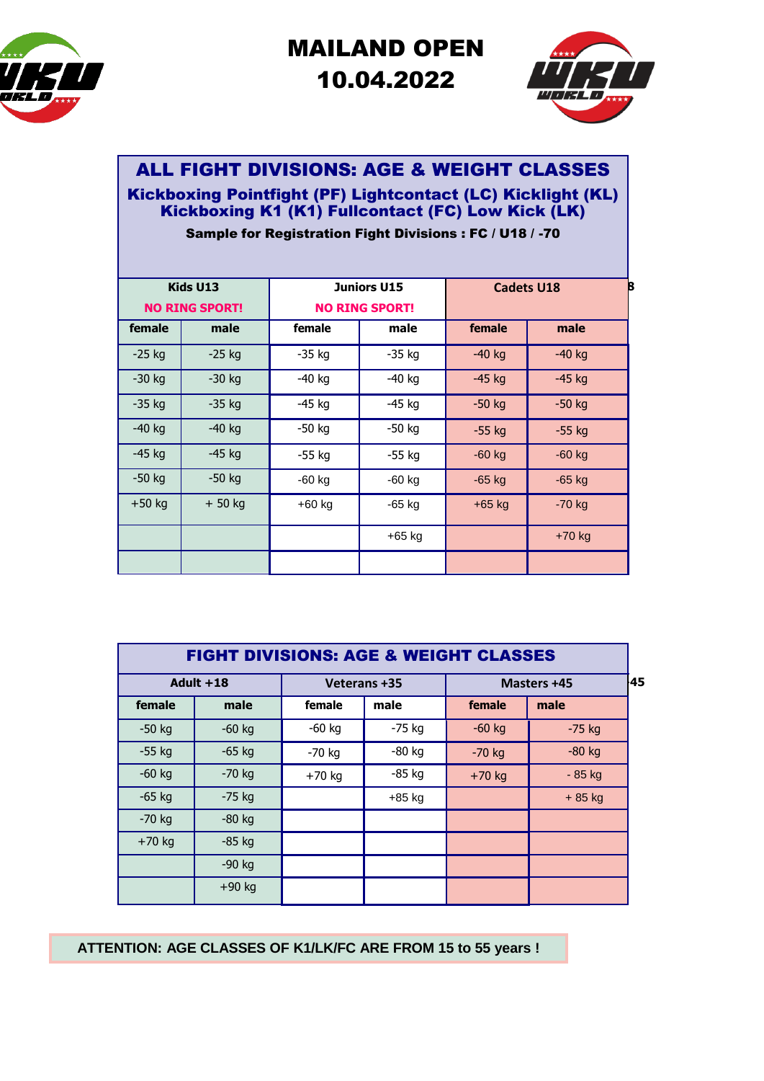

# MAILAND OPEN 10.04.2022



### ALL FIGHT DIVISIONS: AGE & WEIGHT CLASSES

### Kickboxing Pointfight (PF) Lightcontact (LC) Kicklight (KL) Kickboxing K1 (K1) Fullcontact (FC) Low Kick (LK)

Sample for Registration Fight Divisions : FC / U18 / -70

| Kids U13<br><b>NO RING SPORT!</b> |          | <b>Juniors U15</b><br><b>NO RING SPORT!</b> |          |          | B<br><b>Cadets U18</b> |
|-----------------------------------|----------|---------------------------------------------|----------|----------|------------------------|
| female                            | male     | female                                      | male     | female   | male                   |
| $-25$ kg                          | $-25$ kg | $-35$ kg                                    | $-35$ kg | $-40$ kg | $-40$ kg               |
| $-30$ kg                          | $-30$ kg | $-40$ kg                                    | $-40$ kg | $-45$ kg | $-45$ kg               |
| $-35$ kg                          | $-35$ kg | $-45$ kg                                    | $-45$ kg | $-50$ kg | $-50$ kg               |
| $-40$ kg                          | $-40$ kg | $-50$ kg                                    | -50 kg   | $-55$ kg | $-55$ kg               |
| $-45$ kg                          | $-45$ kg | $-55$ kg                                    | $-55$ kg | $-60$ kg | $-60$ kg               |
| $-50$ kg                          | $-50$ kg | $-60$ kg                                    | $-60$ kg | $-65$ kg | $-65$ kg               |
| $+50$ kg                          | + 50 kg  | $+60$ kg                                    | $-65$ kg | $+65$ kg | $-70$ kg               |
|                                   |          |                                             | $+65$ kg |          | +70 kg                 |
|                                   |          |                                             |          |          |                        |

| <b>FIGHT DIVISIONS: AGE &amp; WEIGHT CLASSES</b> |             |              |          |          |             |       |
|--------------------------------------------------|-------------|--------------|----------|----------|-------------|-------|
|                                                  | Adult $+18$ | Veterans +35 |          |          | Masters +45 | $-45$ |
| female                                           | male        | female       | male     | female   | male        |       |
| $-50$ kg                                         | $-60$ kg    | $-60$ kg     | $-75$ kg | $-60$ kg | $-75$ kg    |       |
| $-55$ kg                                         | $-65$ kg    | $-70$ kg     | $-80$ kg | $-70$ kg | $-80$ kg    |       |
| $-60$ kg                                         | $-70$ kg    | $+70$ kg     | $-85$ kg | $+70$ kg | - 85 kg     |       |
| $-65$ kg                                         | $-75$ kg    |              | $+85$ kg |          | $+85$ kg    |       |
| $-70$ kg                                         | $-80$ kg    |              |          |          |             |       |
| $+70$ kg                                         | $-85$ kg    |              |          |          |             |       |
|                                                  | $-90$ kg    |              |          |          |             |       |
|                                                  | $+90$ kg    |              |          |          |             |       |

**ATTENTION: AGE CLASSES OF K1/LK/FC ARE FROM 15 to 55 years !**